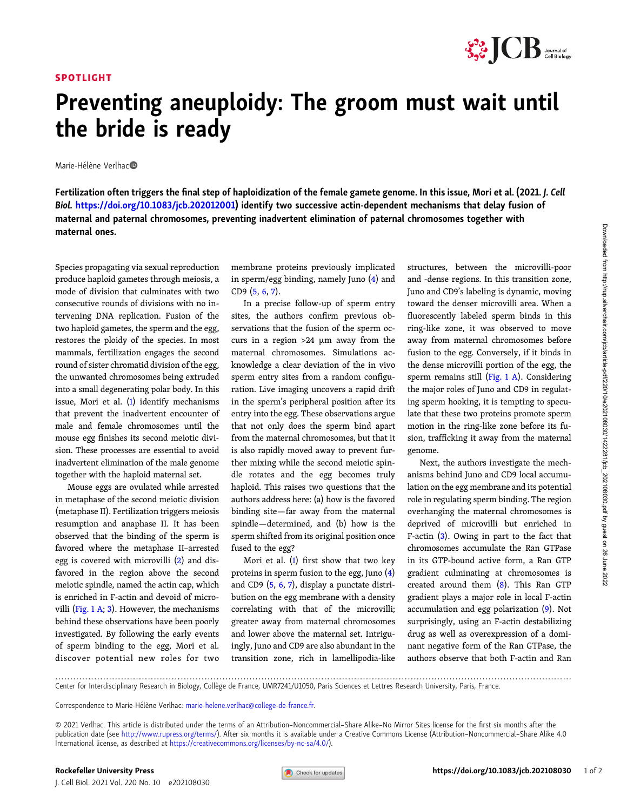## SPOTLIGHT



## Preventing aneuploidy: The groom must wait until the bride is ready

Marie-Hélène Verlhac<sup>o</sup>

Fertilization often triggers the final step of haploidization of the female gamete genome. In this issue, Mori et al. (2021. J. Cell Biol. [https://doi.org/10.1083/jcb.202012001\)](https://doi.org/10.1083/jcb.202012001) identify two successive actin-dependent mechanisms that delay fusion of maternal and paternal chromosomes, preventing inadvertent elimination of paternal chromosomes together with maternal ones.

Species propagating via sexual reproduction produce haploid gametes through meiosis, a mode of division that culminates with two consecutive rounds of divisions with no intervening DNA replication. Fusion of the two haploid gametes, the sperm and the egg, restores the ploidy of the species. In most mammals, fertilization engages the second round of sister chromatid division of the egg, the unwanted chromosomes being extruded into a small degenerating polar body. In this issue, Mori et al. [\(1\)](#page-1-0) identify mechanisms that prevent the inadvertent encounter of male and female chromosomes until the mouse egg finishes its second meiotic division. These processes are essential to avoid inadvertent elimination of the male genome together with the haploid maternal set.

Mouse eggs are ovulated while arrested in metaphase of the second meiotic division (metaphase II). Fertilization triggers meiosis resumption and anaphase II. It has been observed that the binding of the sperm is favored where the metaphase II–arrested egg is covered with microvilli ([2](#page-1-0)) and disfavored in the region above the second meiotic spindle, named the actin cap, which is enriched in F-actin and devoid of microvilli ([Fig. 1 A](#page-1-0); [3](#page-1-0)). However, the mechanisms behind these observations have been poorly investigated. By following the early events of sperm binding to the egg, Mori et al. discover potential new roles for two

membrane proteins previously implicated in sperm/egg binding, namely Juno [\(4\)](#page-1-0) and CD9 ([5](#page-1-0), [6](#page-1-0), [7\)](#page-1-0).

In a precise follow-up of sperm entry sites, the authors confirm previous observations that the fusion of the sperm occurs in a region >24 µm away from the maternal chromosomes. Simulations acknowledge a clear deviation of the in vivo sperm entry sites from a random configuration. Live imaging uncovers a rapid drift in the sperm's peripheral position after its entry into the egg. These observations argue that not only does the sperm bind apart from the maternal chromosomes, but that it is also rapidly moved away to prevent further mixing while the second meiotic spindle rotates and the egg becomes truly haploid. This raises two questions that the authors address here: (a) how is the favored binding site—far away from the maternal spindle—determined, and (b) how is the sperm shifted from its original position once fused to the egg?

Mori et al.  $(1)$  $(1)$  first show that two key proteins in sperm fusion to the egg, Juno ([4\)](#page-1-0) and CD9 [\(5](#page-1-0), [6,](#page-1-0) [7](#page-1-0)), display a punctate distribution on the egg membrane with a density correlating with that of the microvilli; greater away from maternal chromosomes and lower above the maternal set. Intriguingly, Juno and CD9 are also abundant in the transition zone, rich in lamellipodia-like structures, between the microvilli-poor and -dense regions. In this transition zone, Juno and CD9's labeling is dynamic, moving toward the denser microvilli area. When a fluorescently labeled sperm binds in this ring-like zone, it was observed to move away from maternal chromosomes before fusion to the egg. Conversely, if it binds in the dense microvilli portion of the egg, the sperm remains still [\(Fig. 1 A\)](#page-1-0). Considering the major roles of Juno and CD9 in regulating sperm hooking, it is tempting to speculate that these two proteins promote sperm motion in the ring-like zone before its fusion, trafficking it away from the maternal genome.

Next, the authors investigate the mechanisms behind Juno and CD9 local accumulation on the egg membrane and its potential role in regulating sperm binding. The region overhanging the maternal chromosomes is deprived of microvilli but enriched in F-actin [\(3](#page-1-0)). Owing in part to the fact that chromosomes accumulate the Ran GTPase in its GTP-bound active form, a Ran GTP gradient culminating at chromosomes is created around them ([8](#page-1-0)). This Ran GTP gradient plays a major role in local F-actin accumulation and egg polarization [\(9](#page-1-0)). Not surprisingly, using an F-actin destabilizing drug as well as overexpression of a dominant negative form of the Ran GTPase, the authors observe that both F-actin and Ran

............................................................................................................................................................................. Center for Interdisciplinary Research in Biology, Collège de France, UMR7241/U1050, Paris Sciences et Lettres Research University, Paris, France.

Correspondence to Marie-Hélène Verlhac: [marie-helene.verlhac@college-de-france.fr](mailto:marie-helene.verlhac@college-de-france.fr).

© 2021 Verlhac. This article is distributed under the terms of an Attribution–Noncommercial–Share Alike–No Mirror Sites license for the first six months after the publication date (see [http://www.rupress.org/terms/\)](http://www.rupress.org/terms/). After six months it is available under a Creative Commons License (Attribution-Noncommercial-Share Alike 4.0 International license, as described at <https://creativecommons.org/licenses/by-nc-sa/4.0/>).